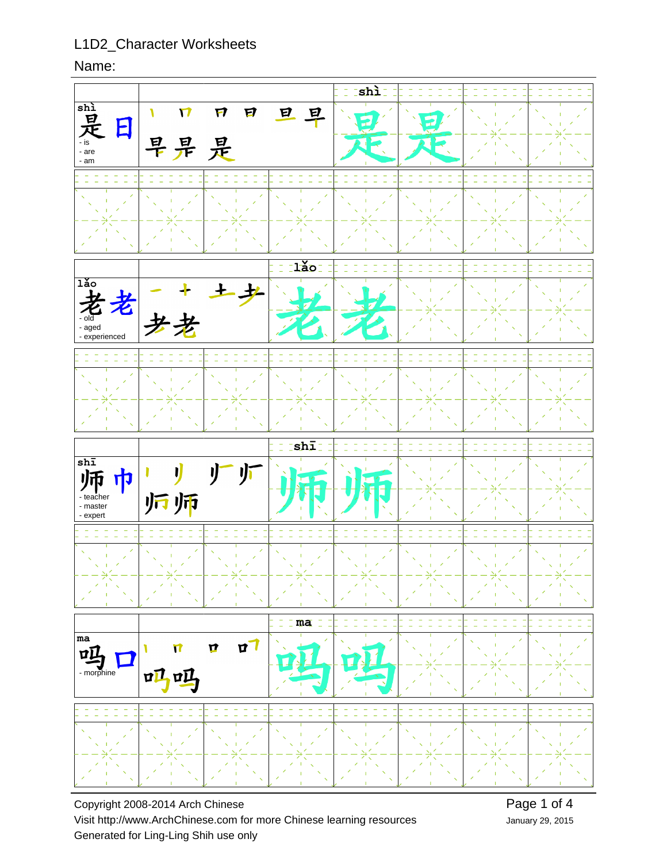### Name:



Copyright 2008-2014 Arch Chinese Visit http://www.ArchChinese.com for more Chinese learning resources Generated for Ling-Ling Shih use only

January 29, 2015 Page 1 of 4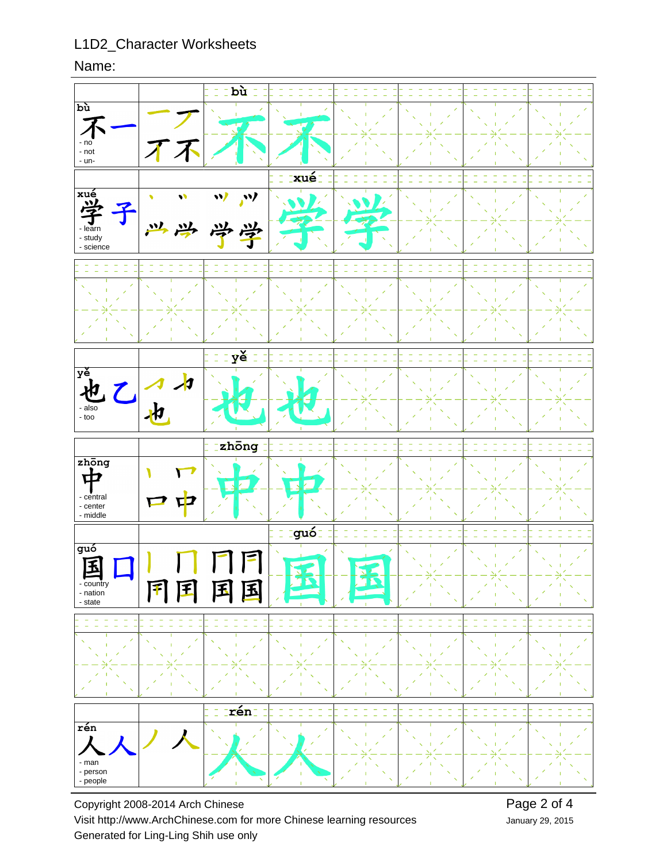#### Name:



Copyright 2008-2014 Arch Chinese Visit http://www.ArchChinese.com for more Chinese learning resources Generated for Ling-Ling Shih use only

January 29, 2015 Page 2 of 4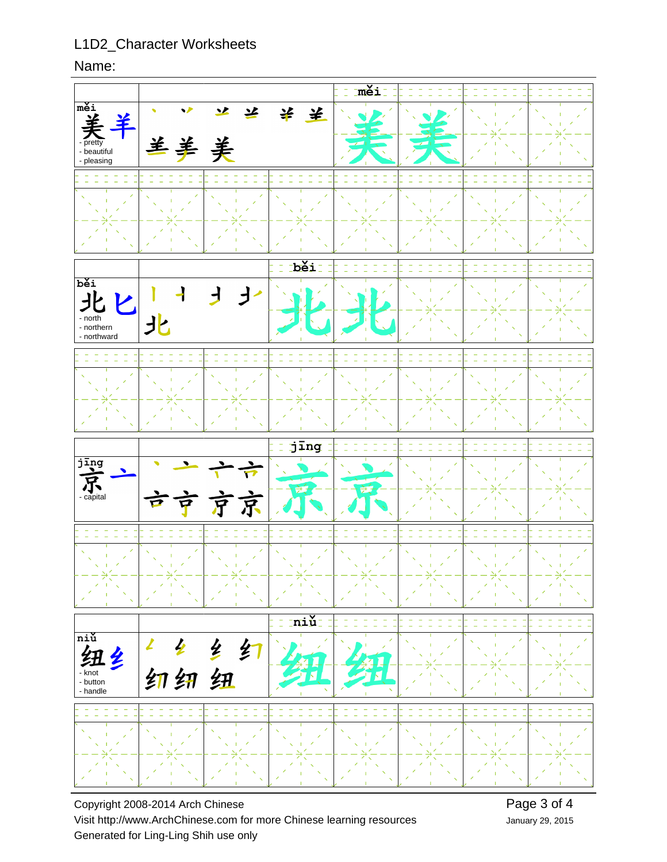Name:



Copyright 2008-2014 Arch Chinese Visit http://www.ArchChinese.com for more Chinese learning resources Generated for Ling-Ling Shih use only

January 29, 2015 Page 3 of 4